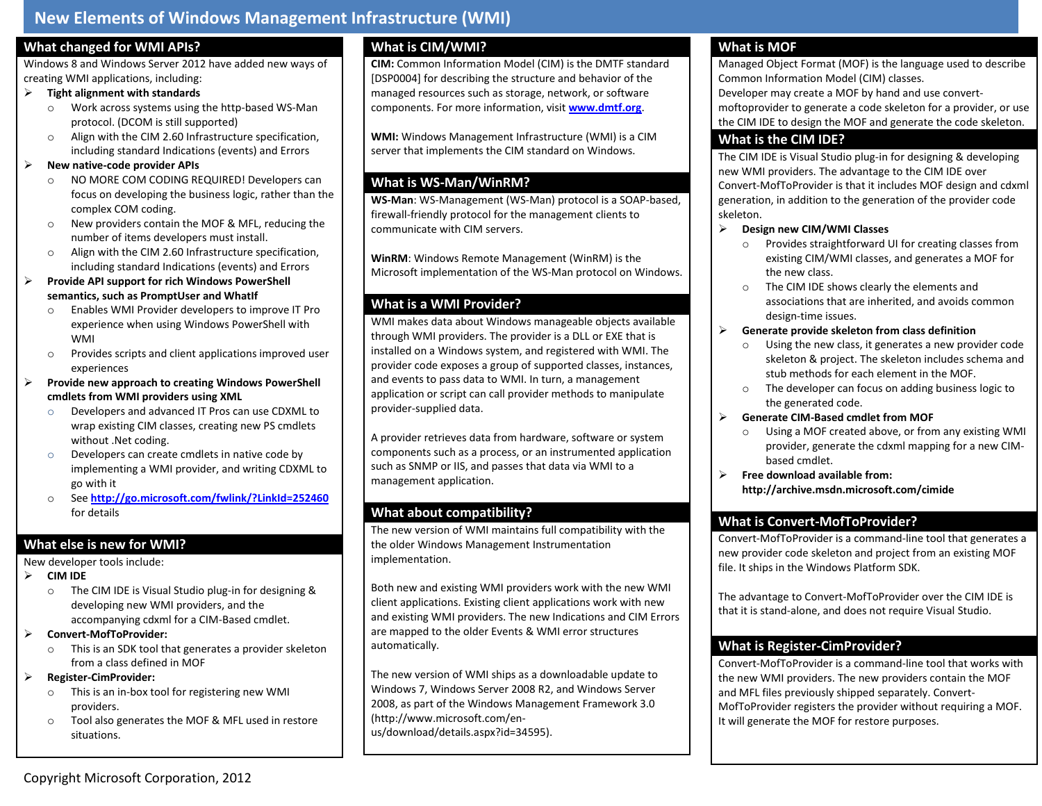## **New Elements of Windows Management Infrastructure (WMI)**

#### **What changed for WMI APIs?**

Windows 8 and Windows Server 2012 have added new ways of creating WMI applications, including:

#### **Tight alignment with standards**

- o Work across systems using the http-based WS-Man protocol. (DCOM is still supported)
- o Align with the CIM 2.60 Infrastructure specification, including standard Indications (events) and Errors

#### **New native-code provider APIs**

- o NO MORE COM CODING REQUIRED! Developers can focus on developing the business logic, rather than the complex COM coding.
- o New providers contain the MOF & MFL, reducing the number of items developers must install.
- o Align with the CIM 2.60 Infrastructure specification, including standard Indications (events) and Errors
- **Provide API support for rich Windows PowerShell semantics, such as PromptUser and WhatIf**
	- o Enables WMI Provider developers to improve IT Pro experience when using Windows PowerShell with WMI
	- o Provides scripts and client applications improved user experiences
- **Provide new approach to creating Windows PowerShell cmdlets from WMI providers using XML**
	- o Developers and advanced IT Pros can use CDXML to wrap existing CIM classes, creating new PS cmdlets without .Net coding.
	- o Developers can create cmdlets in native code by implementing a WMI provider, and writing CDXML to go with it
	- o See **<http://go.microsoft.com/fwlink/?LinkId=252460>** for details

### **What else is new for WMI?**

New developer tools include:

- **CIM IDE** 
	- o The CIM IDE is Visual Studio plug-in for designing & developing new WMI providers, and the accompanying cdxml for a CIM-Based cmdlet.

#### **Convert-MofToProvider:**

- o This is an SDK tool that generates a provider skeleton from a class defined in MOF
- **Register-CimProvider:**
	- o This is an in-box tool for registering new WMI providers.
	- o Tool also generates the MOF & MFL used in restore situations.

# **What is CIM/WMI?**

**CIM:** Common Information Model (CIM) is the DMTF standard [DSP0004] for describing the structure and behavior of the managed resources such as storage, network, or software components. For more information, visit **[www.dmtf.org](http://www.dmtf.org/)**.

**WMI:** Windows Management Infrastructure (WMI) is a CIM server that implements the CIM standard on Windows.

# **What is WS-Man/WinRM?**

**WS-Man**: WS-Management (WS-Man) protocol is a SOAP-based, firewall-friendly protocol for the management clients to communicate with CIM servers.

**WinRM**: Windows Remote Management (WinRM) is the Microsoft implementation of the WS-Man protocol on Windows.

## **What is a WMI Provider?**

WMI makes data about Windows manageable objects available through WMI providers. The provider is a DLL or EXE that is installed on a Windows system, and registered with WMI. The provider code exposes a group of supported classes, instances, and events to pass data to WMI. In turn, a management application or script can call provider methods to manipulate provider-supplied data.

A provider retrieves data from hardware, software or system components such as a process, or an instrumented application such as SNMP or IIS, and passes that data via WMI to a management application.

### **What about compatibility?**

The new version of WMI maintains full compatibility with the the older Windows Management Instrumentation implementation.

Both new and existing WMI providers work with the new WMI client applications. Existing client applications work with new and existing WMI providers. The new Indications and CIM Errors are mapped to the older Events & WMI error structures automatically.

The new version of WMI ships as a downloadable update to Windows 7, Windows Server 2008 R2, and Windows Server 2008, as part of the Windows Management Framework 3.0 (http://www.microsoft.com/enus/download/details.aspx?id=34595).

## **What is MOF**

Managed Object Format (MOF) is the language used to describe Common Information Model (CIM) classes. Developer may create a MOF by hand and use convertmoftoprovider to generate a code skeleton for a provider, or use the CIM IDE to design the MOF and generate the code skeleton.

### **What is the CIM IDE?**

The CIM IDE is Visual Studio plug-in for designing & developing new WMI providers. The advantage to the CIM IDE over Convert-MofToProvider is that it includes MOF design and cdxml generation, in addition to the generation of the provider code skeleton.

#### **Design new CIM/WMI Classes**

- o Provides straightforward UI for creating classes from existing CIM/WMI classes, and generates a MOF for the new class.
- o The CIM IDE shows clearly the elements and associations that are inherited, and avoids common design-time issues.

### **Generate provide skeleton from class definition**

- o Using the new class, it generates a new provider code skeleton & project. The skeleton includes schema and stub methods for each element in the MOF.
- o The developer can focus on adding business logic to the generated code.
- **Generate CIM-Based cmdlet from MOF**
	- o Using a MOF created above, or from any existing WMI provider, generate the cdxml mapping for a new CIMbased cmdlet.
- **Free download available from: http://archive.msdn.microsoft.com/cimide**

# **What is Convert-MofToProvider?**

Convert-MofToProvider is a command-line tool that generates a new provider code skeleton and project from an existing MOF file. It ships in the Windows Platform SDK.

The advantage to Convert-MofToProvider over the CIM IDE is that it is stand-alone, and does not require Visual Studio.

## **What is Register-CimProvider?**

Convert-MofToProvider is a command-line tool that works with the new WMI providers. The new providers contain the MOF and MFL files previously shipped separately. Convert-MofToProvider registers the provider without requiring a MOF. It will generate the MOF for restore purposes.